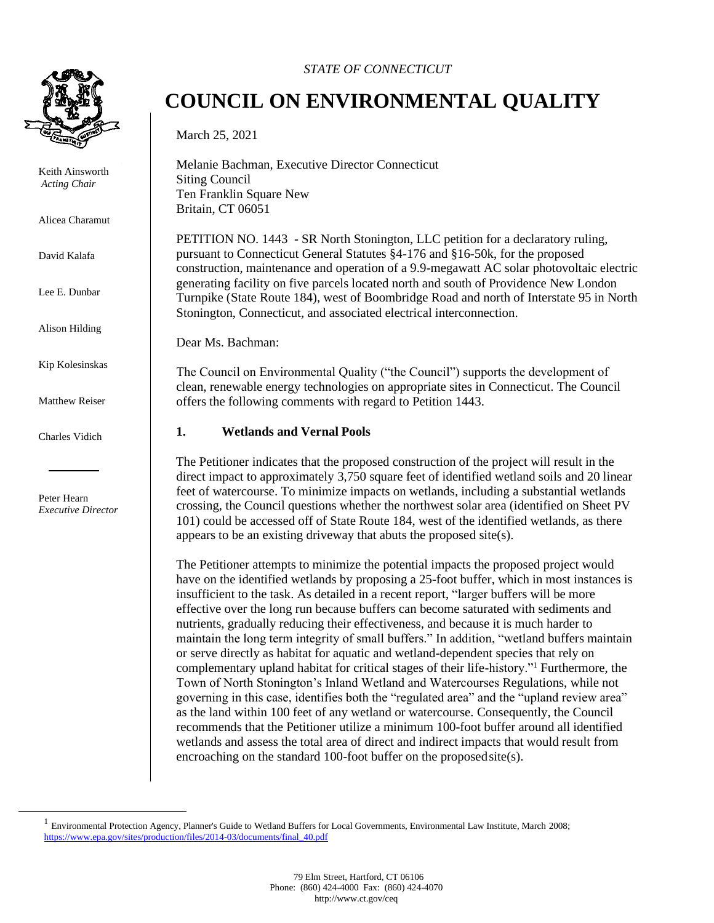

Keith Ainsworth *Acting Chair* 

Alicea Charamut

David Kalafa

Lee E. Dunbar

Alison Hilding

Kip Kolesinskas

Matthew Reiser

Charles Vidich

Peter Hearn *Executive Director*

### *STATE OF CONNECTICUT*

# **COUNCIL ON ENVIRONMENTAL QUALITY**

March 25, 2021

Melanie Bachman, Executive Director Connecticut Siting Council Ten Franklin Square New Britain, CT 06051

PETITION NO. 1443 - SR North Stonington, LLC petition for a declaratory ruling, pursuant to Connecticut General Statutes §4-176 and §16-50k, for the proposed construction, maintenance and operation of a 9.9-megawatt AC solar photovoltaic electric generating facility on five parcels located north and south of Providence New London Turnpike (State Route 184), west of Boombridge Road and north of Interstate 95 in North Stonington, Connecticut, and associated electrical interconnection.

Dear Ms. Bachman:

The Council on Environmental Quality ("the Council") supports the development of clean, renewable energy technologies on appropriate sites in Connecticut. The Council offers the following comments with regard to Petition 1443.

#### **1. Wetlands and Vernal Pools**

The Petitioner indicates that the proposed construction of the project will result in the direct impact to approximately 3,750 square feet of identified wetland soils and 20 linear feet of watercourse. To minimize impacts on wetlands, including a substantial wetlands crossing, the Council questions whether the northwest solar area (identified on Sheet PV 101) could be accessed off of State Route 184, west of the identified wetlands, as there appears to be an existing driveway that abuts the proposed site(s).

The Petitioner attempts to minimize the potential impacts the proposed project would have on the identified wetlands by proposing a 25-foot buffer, which in most instances is insufficient to the task. As detailed in a recent report, "larger buffers will be more effective over the long run because buffers can become saturated with sediments and nutrients, gradually reducing their effectiveness, and because it is much harder to maintain the long term integrity of small buffers." In addition, "wetland buffers maintain or serve directly as habitat for aquatic and wetland-dependent species that rely on complementary upland habitat for critical stages of their life-history."<sup>1</sup> Furthermore, the Town of North Stonington's Inland Wetland and Watercourses Regulations, while not governing in this case, identifies both the "regulated area" and the "upland review area" as the land within 100 feet of any wetland or watercourse. Consequently, the Council recommends that the Petitioner utilize a minimum 100-foot buffer around all identified wetlands and assess the total area of direct and indirect impacts that would result from encroaching on the standard 100-foot buffer on the proposedsite(s).

<sup>&</sup>lt;sup>1</sup> Environmental Protection Agency, Planner's Guide to Wetland Buffers for Local Governments, Environmental Law Institute, March 2008; [https://www.epa.gov/sites/production/files/2014-03/documents/final\\_40.pdf](https://www.epa.gov/sites/production/files/2014-03/documents/final_40.pdf)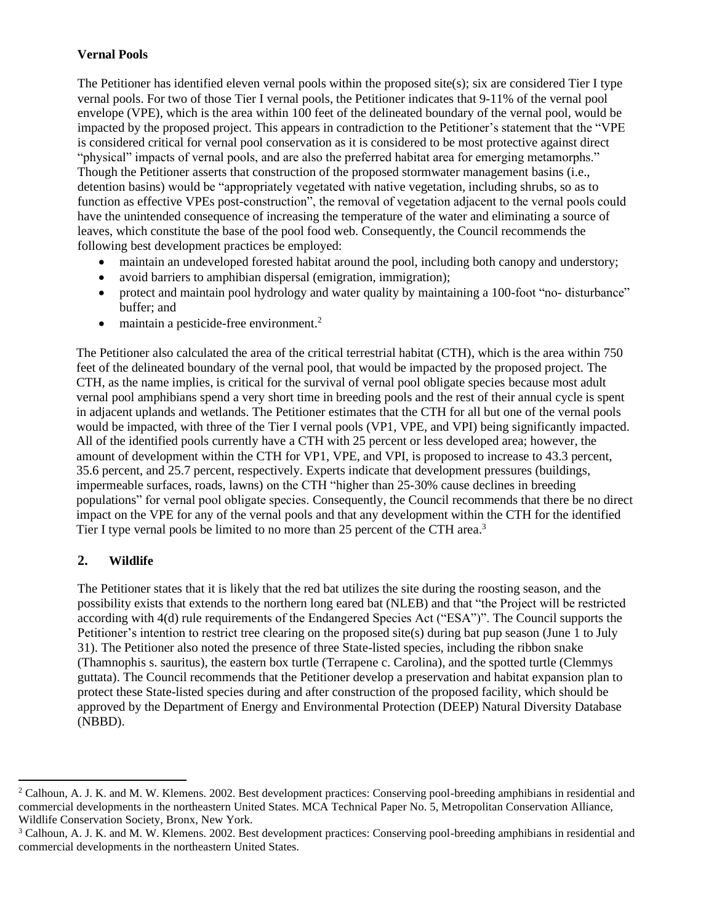## **Vernal Pools**

The Petitioner has identified eleven vernal pools within the proposed site(s); six are considered Tier I type vernal pools. For two of those Tier I vernal pools, the Petitioner indicates that 9-11% of the vernal pool envelope (VPE), which is the area within 100 feet of the delineated boundary of the vernal pool, would be impacted by the proposed project. This appears in contradiction to the Petitioner's statement that the "VPE is considered critical for vernal pool conservation as it is considered to be most protective against direct "physical" impacts of vernal pools, and are also the preferred habitat area for emerging metamorphs." Though the Petitioner asserts that construction of the proposed stormwater management basins (i.e., detention basins) would be "appropriately vegetated with native vegetation, including shrubs, so as to function as effective VPEs post-construction", the removal of vegetation adjacent to the vernal pools could have the unintended consequence of increasing the temperature of the water and eliminating a source of leaves, which constitute the base of the pool food web. Consequently, the Council recommends the following best development practices be employed:

- maintain an undeveloped forested habitat around the pool, including both canopy and understory;
- avoid barriers to amphibian dispersal (emigration, immigration);
- protect and maintain pool hydrology and water quality by maintaining a 100-foot "no- disturbance" buffer; and
- maintain a pesticide-free environment.<sup>2</sup>

The Petitioner also calculated the area of the critical terrestrial habitat (CTH), which is the area within 750 feet of the delineated boundary of the vernal pool, that would be impacted by the proposed project. The CTH, as the name implies, is critical for the survival of vernal pool obligate species because most adult vernal pool amphibians spend a very short time in breeding pools and the rest of their annual cycle is spent in adjacent uplands and wetlands. The Petitioner estimates that the CTH for all but one of the vernal pools would be impacted, with three of the Tier I vernal pools (VP1, VPE, and VPI) being significantly impacted. All of the identified pools currently have a CTH with 25 percent or less developed area; however, the amount of development within the CTH for VP1, VPE, and VPI, is proposed to increase to 43.3 percent, 35.6 percent, and 25.7 percent, respectively. Experts indicate that development pressures (buildings, impermeable surfaces, roads, lawns) on the CTH "higher than 25-30% cause declines in breeding populations" for vernal pool obligate species. Consequently, the Council recommends that there be no direct impact on the VPE for any of the vernal pools and that any development within the CTH for the identified Tier I type vernal pools be limited to no more than 25 percent of the CTH area.<sup>3</sup>

# **2. Wildlife**

The Petitioner states that it is likely that the red bat utilizes the site during the roosting season, and the possibility exists that extends to the northern long eared bat (NLEB) and that "the Project will be restricted according with 4(d) rule requirements of the Endangered Species Act ("ESA")". The Council supports the Petitioner's intention to restrict tree clearing on the proposed site(s) during bat pup season (June 1 to July 31). The Petitioner also noted the presence of three State-listed species, including the ribbon snake (Thamnophis s. sauritus), the eastern box turtle (Terrapene c. Carolina), and the spotted turtle (Clemmys guttata). The Council recommends that the Petitioner develop a preservation and habitat expansion plan to protect these State-listed species during and after construction of the proposed facility, which should be approved by the Department of Energy and Environmental Protection (DEEP) Natural Diversity Database (NBBD).

 $2$  Calhoun, A. J. K. and M. W. Klemens. 2002. Best development practices: Conserving pool-breeding amphibians in residential and commercial developments in the northeastern United States. MCA Technical Paper No. 5, Metropolitan Conservation Alliance, Wildlife Conservation Society, Bronx, New York.

<sup>&</sup>lt;sup>3</sup> Calhoun, A. J. K. and M. W. Klemens. 2002. Best development practices: Conserving pool-breeding amphibians in residential and commercial developments in the northeastern United States.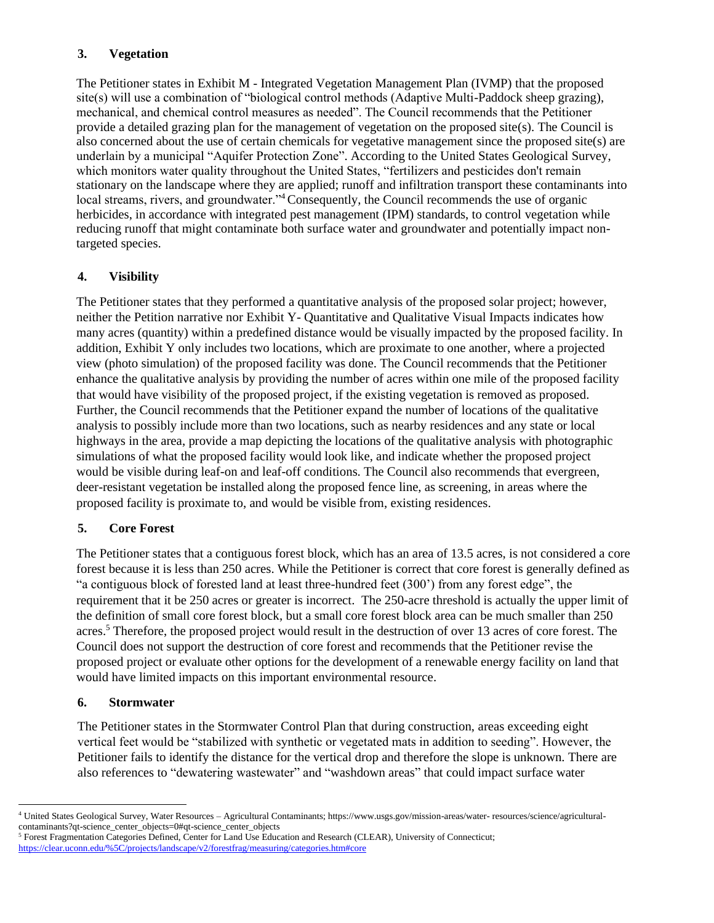## **3. Vegetation**

The Petitioner states in Exhibit M - Integrated Vegetation Management Plan (IVMP) that the proposed site(s) will use a combination of "biological control methods (Adaptive Multi-Paddock sheep grazing), mechanical, and chemical control measures as needed". The Council recommends that the Petitioner provide a detailed grazing plan for the management of vegetation on the proposed site(s). The Council is also concerned about the use of certain chemicals for vegetative management since the proposed site(s) are underlain by a municipal "Aquifer Protection Zone". According to the United States Geological Survey, which monitors water quality throughout the United States, "fertilizers and pesticides don't remain stationary on the landscape where they are applied; runoff and infiltration transport these contaminants into local streams, rivers, and groundwater."<sup>4</sup> Consequently, the Council recommends the use of organic herbicides, in accordance with integrated pest management (IPM) standards, to control vegetation while reducing runoff that might contaminate both surface water and groundwater and potentially impact nontargeted species.

## **4. Visibility**

The Petitioner states that they performed a quantitative analysis of the proposed solar project; however, neither the Petition narrative nor Exhibit Y- Quantitative and Qualitative Visual Impacts indicates how many acres (quantity) within a predefined distance would be visually impacted by the proposed facility. In addition, Exhibit Y only includes two locations, which are proximate to one another, where a projected view (photo simulation) of the proposed facility was done. The Council recommends that the Petitioner enhance the qualitative analysis by providing the number of acres within one mile of the proposed facility that would have visibility of the proposed project, if the existing vegetation is removed as proposed. Further, the Council recommends that the Petitioner expand the number of locations of the qualitative analysis to possibly include more than two locations, such as nearby residences and any state or local highways in the area, provide a map depicting the locations of the qualitative analysis with photographic simulations of what the proposed facility would look like, and indicate whether the proposed project would be visible during leaf-on and leaf-off conditions. The Council also recommends that evergreen, deer-resistant vegetation be installed along the proposed fence line, as screening, in areas where the proposed facility is proximate to, and would be visible from, existing residences.

## **5. Core Forest**

The Petitioner states that a contiguous forest block, which has an area of 13.5 acres, is not considered a core forest because it is less than 250 acres. While the Petitioner is correct that core forest is generally defined as "a contiguous block of forested land at least three-hundred feet (300') from any forest edge", the requirement that it be 250 acres or greater is incorrect. The 250-acre threshold is actually the upper limit of the definition of small core forest block, but a small core forest block area can be much smaller than 250 acres.<sup>5</sup> Therefore, the proposed project would result in the destruction of over 13 acres of core forest. The Council does not support the destruction of core forest and recommends that the Petitioner revise the proposed project or evaluate other options for the development of a renewable energy facility on land that would have limited impacts on this important environmental resource.

## **6. Stormwater**

The Petitioner states in the Stormwater Control Plan that during construction, areas exceeding eight vertical feet would be "stabilized with synthetic or vegetated mats in addition to seeding". However, the Petitioner fails to identify the distance for the vertical drop and therefore the slope is unknown. There are also references to "dewatering wastewater" and "washdown areas" that could impact surface water

<sup>4</sup> United States Geological Survey, Water Resources – Agricultural Contaminants; https://www.usgs.gov/mission-areas/water- resources/science/agriculturalcontaminants?qt-science\_center\_objects=0#qt-science\_center\_objects

<sup>&</sup>lt;sup>5</sup> Forest Fragmentation Categories Defined, Center for Land Use Education and Research (CLEAR), University of Connecticut; <https://clear.uconn.edu/%5C/projects/landscape/v2/forestfrag/measuring/categories.htm#core>